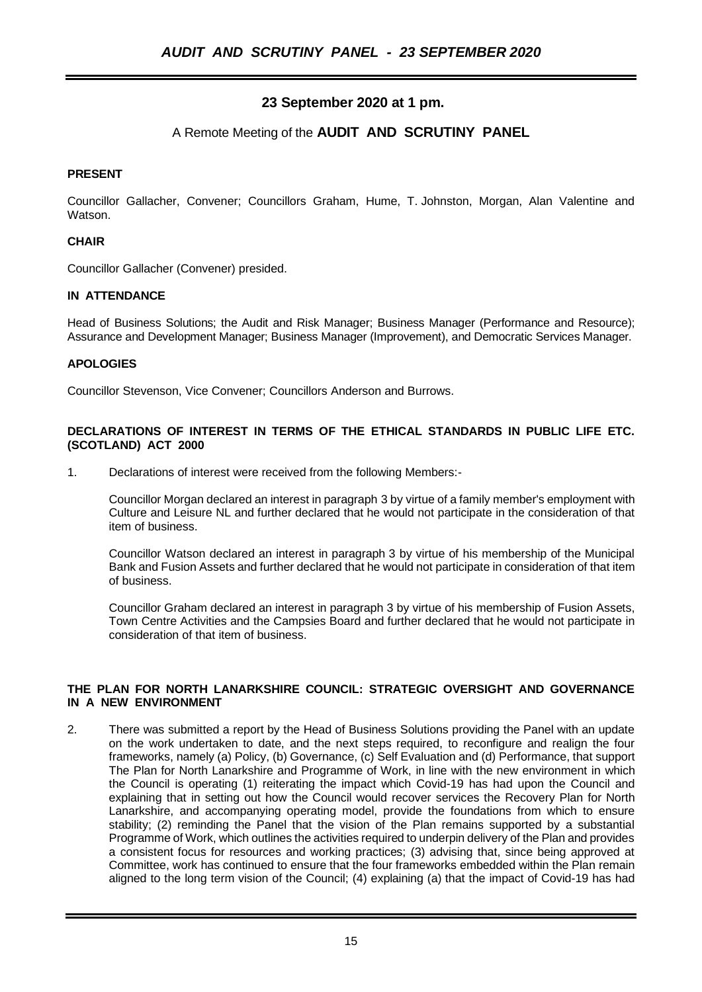# **23 September 2020 at 1 pm.**

## A Remote Meeting of the **AUDIT AND SCRUTINY PANEL**

## **PRESENT**

Councillor Gallacher, Convener; Councillors Graham, Hume, T. Johnston, Morgan, Alan Valentine and **Watson** 

## **CHAIR**

Councillor Gallacher (Convener) presided.

## **IN ATTENDANCE**

Head of Business Solutions; the Audit and Risk Manager; Business Manager (Performance and Resource); Assurance and Development Manager; Business Manager (Improvement), and Democratic Services Manager.

## **APOLOGIES**

Councillor Stevenson, Vice Convener; Councillors Anderson and Burrows.

## **DECLARATIONS OF INTEREST IN TERMS OF THE ETHICAL STANDARDS IN PUBLIC LIFE ETC. (SCOTLAND) ACT 2000**

1. Declarations of interest were received from the following Members:-

Councillor Morgan declared an interest in paragraph 3 by virtue of a family member's employment with Culture and Leisure NL and further declared that he would not participate in the consideration of that item of business.

Councillor Watson declared an interest in paragraph 3 by virtue of his membership of the Municipal Bank and Fusion Assets and further declared that he would not participate in consideration of that item of business.

Councillor Graham declared an interest in paragraph 3 by virtue of his membership of Fusion Assets, Town Centre Activities and the Campsies Board and further declared that he would not participate in consideration of that item of business.

## **THE PLAN FOR NORTH LANARKSHIRE COUNCIL: STRATEGIC OVERSIGHT AND GOVERNANCE IN A NEW ENVIRONMENT**

2. There was submitted a report by the Head of Business Solutions providing the Panel with an update on the work undertaken to date, and the next steps required, to reconfigure and realign the four frameworks, namely (a) Policy, (b) Governance, (c) Self Evaluation and (d) Performance, that support The Plan for North Lanarkshire and Programme of Work, in line with the new environment in which the Council is operating (1) reiterating the impact which Covid-19 has had upon the Council and explaining that in setting out how the Council would recover services the Recovery Plan for North Lanarkshire, and accompanying operating model, provide the foundations from which to ensure stability; (2) reminding the Panel that the vision of the Plan remains supported by a substantial Programme of Work, which outlines the activities required to underpin delivery of the Plan and provides a consistent focus for resources and working practices; (3) advising that, since being approved at Committee, work has continued to ensure that the four frameworks embedded within the Plan remain aligned to the long term vision of the Council; (4) explaining (a) that the impact of Covid-19 has had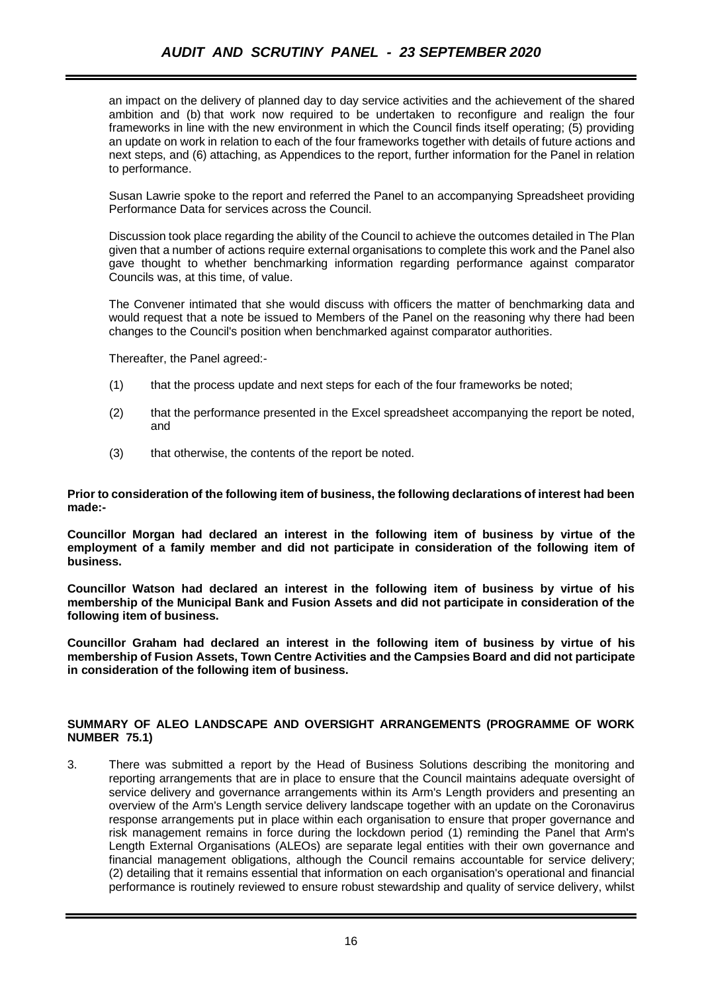an impact on the delivery of planned day to day service activities and the achievement of the shared ambition and (b) that work now required to be undertaken to reconfigure and realign the four frameworks in line with the new environment in which the Council finds itself operating; (5) providing an update on work in relation to each of the four frameworks together with details of future actions and next steps, and (6) attaching, as Appendices to the report, further information for the Panel in relation to performance.

Susan Lawrie spoke to the report and referred the Panel to an accompanying Spreadsheet providing Performance Data for services across the Council.

Discussion took place regarding the ability of the Council to achieve the outcomes detailed in The Plan given that a number of actions require external organisations to complete this work and the Panel also gave thought to whether benchmarking information regarding performance against comparator Councils was, at this time, of value.

The Convener intimated that she would discuss with officers the matter of benchmarking data and would request that a note be issued to Members of the Panel on the reasoning why there had been changes to the Council's position when benchmarked against comparator authorities.

Thereafter, the Panel agreed:-

- (1) that the process update and next steps for each of the four frameworks be noted;
- (2) that the performance presented in the Excel spreadsheet accompanying the report be noted, and
- (3) that otherwise, the contents of the report be noted.

**Prior to consideration of the following item of business, the following declarations of interest had been made:-**

**Councillor Morgan had declared an interest in the following item of business by virtue of the employment of a family member and did not participate in consideration of the following item of business.**

**Councillor Watson had declared an interest in the following item of business by virtue of his membership of the Municipal Bank and Fusion Assets and did not participate in consideration of the following item of business.**

**Councillor Graham had declared an interest in the following item of business by virtue of his membership of Fusion Assets, Town Centre Activities and the Campsies Board and did not participate in consideration of the following item of business.**

#### **SUMMARY OF ALEO LANDSCAPE AND OVERSIGHT ARRANGEMENTS (PROGRAMME OF WORK NUMBER 75.1)**

3. There was submitted a report by the Head of Business Solutions describing the monitoring and reporting arrangements that are in place to ensure that the Council maintains adequate oversight of service delivery and governance arrangements within its Arm's Length providers and presenting an overview of the Arm's Length service delivery landscape together with an update on the Coronavirus response arrangements put in place within each organisation to ensure that proper governance and risk management remains in force during the lockdown period (1) reminding the Panel that Arm's Length External Organisations (ALEOs) are separate legal entities with their own governance and financial management obligations, although the Council remains accountable for service delivery; (2) detailing that it remains essential that information on each organisation's operational and financial performance is routinely reviewed to ensure robust stewardship and quality of service delivery, whilst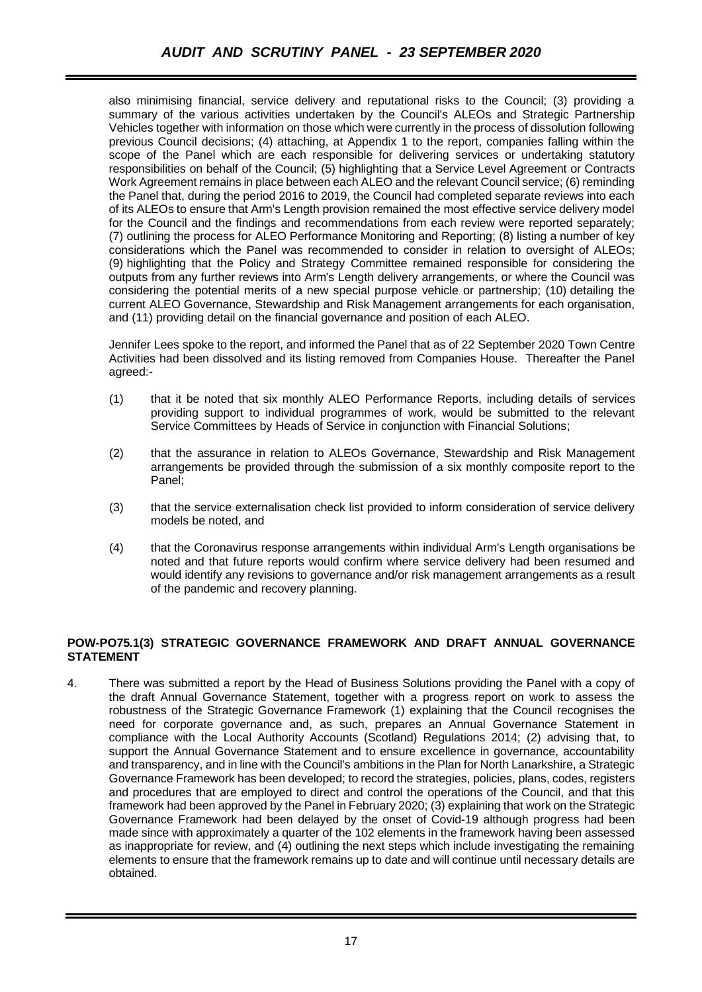also minimising financial, service delivery and reputational risks to the Council; (3) providing a summary of the various activities undertaken by the Council's ALEOs and Strategic Partnership Vehicles together with information on those which were currently in the process of dissolution following previous Council decisions; (4) attaching, at Appendix 1 to the report, companies falling within the scope of the Panel which are each responsible for delivering services or undertaking statutory responsibilities on behalf of the Council; (5) highlighting that a Service Level Agreement or Contracts Work Agreement remains in place between each ALEO and the relevant Council service; (6) reminding the Panel that, during the period 2016 to 2019, the Council had completed separate reviews into each of its ALEOs to ensure that Arm's Length provision remained the most effective service delivery model for the Council and the findings and recommendations from each review were reported separately; (7) outlining the process for ALEO Performance Monitoring and Reporting; (8) listing a number of key considerations which the Panel was recommended to consider in relation to oversight of ALEOs; (9) highlighting that the Policy and Strategy Committee remained responsible for considering the outputs from any further reviews into Arm's Length delivery arrangements, or where the Council was considering the potential merits of a new special purpose vehicle or partnership; (10) detailing the current ALEO Governance, Stewardship and Risk Management arrangements for each organisation, and (11) providing detail on the financial governance and position of each ALEO.

Jennifer Lees spoke to the report, and informed the Panel that as of 22 September 2020 Town Centre Activities had been dissolved and its listing removed from Companies House. Thereafter the Panel agreed:-

- (1) that it be noted that six monthly ALEO Performance Reports, including details of services providing support to individual programmes of work, would be submitted to the relevant Service Committees by Heads of Service in conjunction with Financial Solutions;
- (2) that the assurance in relation to ALEOs Governance, Stewardship and Risk Management arrangements be provided through the submission of a six monthly composite report to the Panel;
- (3) that the service externalisation check list provided to inform consideration of service delivery models be noted, and
- (4) that the Coronavirus response arrangements within individual Arm's Length organisations be noted and that future reports would confirm where service delivery had been resumed and would identify any revisions to governance and/or risk management arrangements as a result of the pandemic and recovery planning.

## **POW-PO75.1(3) STRATEGIC GOVERNANCE FRAMEWORK AND DRAFT ANNUAL GOVERNANCE STATEMENT**

4. There was submitted a report by the Head of Business Solutions providing the Panel with a copy of the draft Annual Governance Statement, together with a progress report on work to assess the robustness of the Strategic Governance Framework (1) explaining that the Council recognises the need for corporate governance and, as such, prepares an Annual Governance Statement in compliance with the Local Authority Accounts (Scotland) Regulations 2014; (2) advising that, to support the Annual Governance Statement and to ensure excellence in governance, accountability and transparency, and in line with the Council's ambitions in the Plan for North Lanarkshire, a Strategic Governance Framework has been developed; to record the strategies, policies, plans, codes, registers and procedures that are employed to direct and control the operations of the Council, and that this framework had been approved by the Panel in February 2020; (3) explaining that work on the Strategic Governance Framework had been delayed by the onset of Covid-19 although progress had been made since with approximately a quarter of the 102 elements in the framework having been assessed as inappropriate for review, and (4) outlining the next steps which include investigating the remaining elements to ensure that the framework remains up to date and will continue until necessary details are obtained.